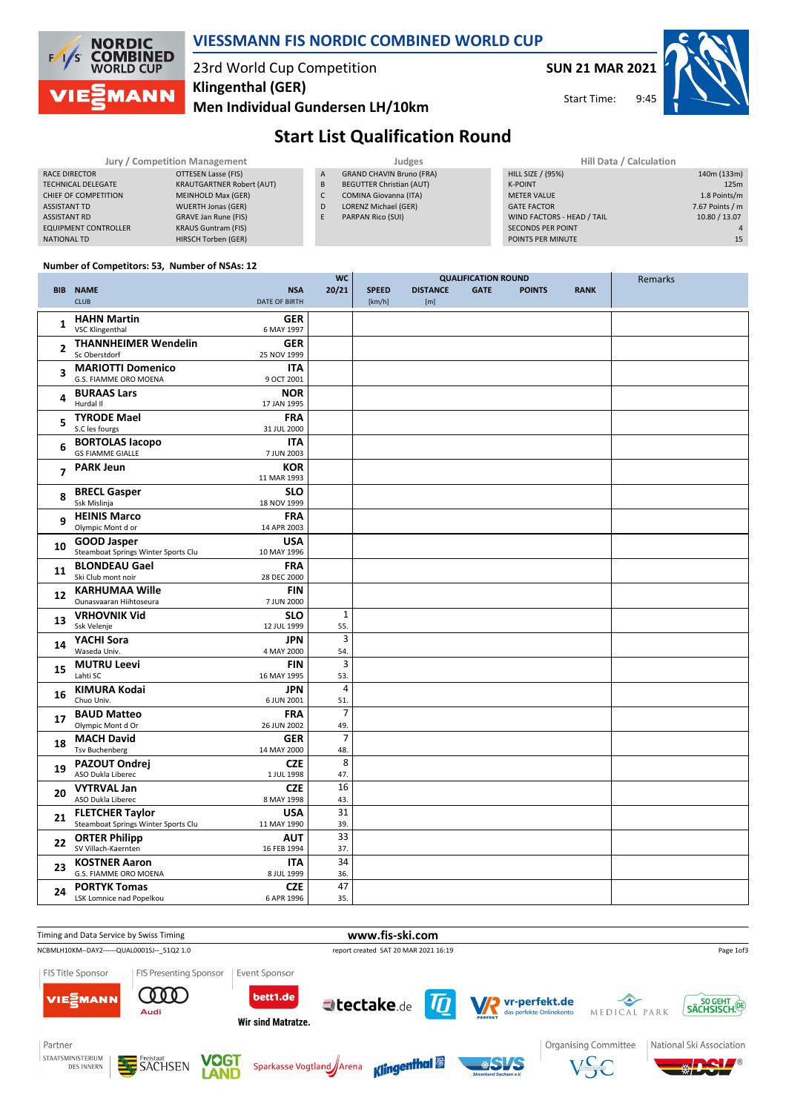

### **VIESSMANN FIS NORDIC COMBINED WORLD CUP**

#### 23rd World Cup Competition **Klingenthal (GER)**

**Men Individual Gundersen LH/10km**

**SUN 21 MAR 2021**

9:45 Start Time:

Remarks



### **Start List Qualification Round**

**QUALIFICATION ROUND**

| Jury / Competition Management |                                  |   | <b>Judges</b>                   | Hill Data / Calculation    |                 |  |
|-------------------------------|----------------------------------|---|---------------------------------|----------------------------|-----------------|--|
| RACE DIRECTOR                 | OTTESEN Lasse (FIS)              | A | <b>GRAND CHAVIN Bruno (FRA)</b> | HILL SIZE / (95%)          | 140m (133m)     |  |
| TECHNICAL DELEGATE            | <b>KRAUTGARTNER Robert (AUT)</b> | B | <b>BEGUTTER Christian (AUT)</b> | <b>K-POINT</b>             | 125m            |  |
| CHIEF OF COMPETITION          | MEINHOLD Max (GER)               | C | COMINA Giovanna (ITA)           | <b>METER VALUE</b>         | 1.8 Points/m    |  |
| <b>ASSISTANT TD</b>           | <b>WUERTH Jonas (GER)</b>        | D | LORENZ Michael (GER)            | <b>GATE FACTOR</b>         | 7.67 Points / m |  |
| <b>ASSISTANT RD</b>           | GRAVE Jan Rune (FIS)             | E | PARPAN Rico (SUI)               | WIND FACTORS - HEAD / TAIL | 10.80 / 13.07   |  |
| <b>EQUIPMENT CONTROLLER</b>   | <b>KRAUS Guntram (FIS)</b>       |   |                                 | <b>SECONDS PER POINT</b>   |                 |  |
| NATIONAL TD                   | HIRSCH Torben (GER)              |   |                                 | POINTS PER MINUTE          | 15              |  |

**watch** 

#### **Number of Competitors: 53, Number of NSAs: 12**

| <b>BIB</b>     | <b>NAME</b><br><b>CLUB</b>                                    | <b>NSA</b><br><b>DATE OF BIRTH</b> | 20/21                 | <b>SPEED</b><br>[km/h] | <b>DISTANCE</b><br>[m] | <b>QUALIFICATION NUUNU</b><br><b>GATE</b> | <b>POINTS</b> | <b>RANK</b> | Reffidency |
|----------------|---------------------------------------------------------------|------------------------------------|-----------------------|------------------------|------------------------|-------------------------------------------|---------------|-------------|------------|
| 1              | <b>HAHN Martin</b><br><b>VSC Klingenthal</b>                  | <b>GER</b><br>6 MAY 1997           |                       |                        |                        |                                           |               |             |            |
| $\overline{2}$ | <b>THANNHEIMER Wendelin</b><br>Sc Oberstdorf                  | GER<br>25 NOV 1999                 |                       |                        |                        |                                           |               |             |            |
| 3              | <b>MARIOTTI Domenico</b><br>G.S. FIAMME ORO MOENA             | <b>ITA</b><br>9 OCT 2001           |                       |                        |                        |                                           |               |             |            |
| 4              | <b>BURAAS Lars</b><br>Hurdal II                               | <b>NOR</b><br>17 JAN 1995          |                       |                        |                        |                                           |               |             |            |
| 5              | <b>TYRODE Mael</b><br>S.C les fourgs                          | <b>FRA</b><br>31 JUL 2000          |                       |                        |                        |                                           |               |             |            |
| 6              | <b>BORTOLAS lacopo</b><br><b>GS FIAMME GIALLE</b>             | <b>ITA</b><br>7 JUN 2003           |                       |                        |                        |                                           |               |             |            |
| $\overline{7}$ | <b>PARK Jeun</b>                                              | <b>KOR</b><br>11 MAR 1993          |                       |                        |                        |                                           |               |             |            |
| 8              | <b>BRECL Gasper</b><br>Ssk Mislinja                           | <b>SLO</b><br>18 NOV 1999          |                       |                        |                        |                                           |               |             |            |
| 9              | <b>HEINIS Marco</b><br>Olympic Mont d or                      | <b>FRA</b><br>14 APR 2003          |                       |                        |                        |                                           |               |             |            |
| 10             | <b>GOOD Jasper</b><br>Steamboat Springs Winter Sports Clu     | <b>USA</b><br>10 MAY 1996          |                       |                        |                        |                                           |               |             |            |
| 11             | <b>BLONDEAU Gael</b><br>Ski Club mont noir                    | <b>FRA</b><br>28 DEC 2000          |                       |                        |                        |                                           |               |             |            |
| 12             | <b>KARHUMAA Wille</b><br>Ounasvaaran Hiihtoseura              | <b>FIN</b><br>7 JUN 2000           |                       |                        |                        |                                           |               |             |            |
| 13             | <b>VRHOVNIK Vid</b><br>Ssk Velenje                            | <b>SLO</b><br>12 JUL 1999          | $\mathbf{1}$<br>55.   |                        |                        |                                           |               |             |            |
| 14             | YACHI Sora<br>Waseda Univ.                                    | <b>JPN</b><br>4 MAY 2000           | 3<br>54.              |                        |                        |                                           |               |             |            |
| 15             | <b>MUTRU Leevi</b><br>Lahti SC                                | <b>FIN</b><br>16 MAY 1995          | 3<br>53.              |                        |                        |                                           |               |             |            |
| 16             | <b>KIMURA Kodai</b><br>Chuo Univ.                             | <b>JPN</b><br>6 JUN 2001           | 4<br>51.              |                        |                        |                                           |               |             |            |
| 17             | <b>BAUD Matteo</b><br>Olympic Mont d Or                       | <b>FRA</b><br>26 JUN 2002          | $\overline{7}$<br>49. |                        |                        |                                           |               |             |            |
| 18             | <b>MACH David</b><br><b>Tsv Buchenberg</b>                    | <b>GER</b><br>14 MAY 2000          | $\overline{7}$<br>48. |                        |                        |                                           |               |             |            |
| 19             | <b>PAZOUT Ondrej</b><br>ASO Dukla Liberec                     | <b>CZE</b><br>1 JUL 1998           | 8<br>47.              |                        |                        |                                           |               |             |            |
| 20             | <b>VYTRVAL Jan</b><br>ASO Dukla Liberec                       | <b>CZE</b><br>8 MAY 1998           | 16<br>43.             |                        |                        |                                           |               |             |            |
| 21             | <b>FLETCHER Taylor</b><br>Steamboat Springs Winter Sports Clu | <b>USA</b><br>11 MAY 1990          | 31<br>39.             |                        |                        |                                           |               |             |            |
| 22             | <b>ORTER Philipp</b><br>SV Villach-Kaernten                   | <b>AUT</b><br>16 FEB 1994          | 33<br>37.             |                        |                        |                                           |               |             |            |
| 23             | <b>KOSTNER Aaron</b><br>G.S. FIAMME ORO MOENA                 | ITA<br>8 JUL 1999                  | 34<br>36.             |                        |                        |                                           |               |             |            |
| 24             | <b>PORTYK Tomas</b><br>LSK Lomnice nad Popelkou               | <b>CZE</b><br>6 APR 1996           | 47<br>35.             |                        |                        |                                           |               |             |            |

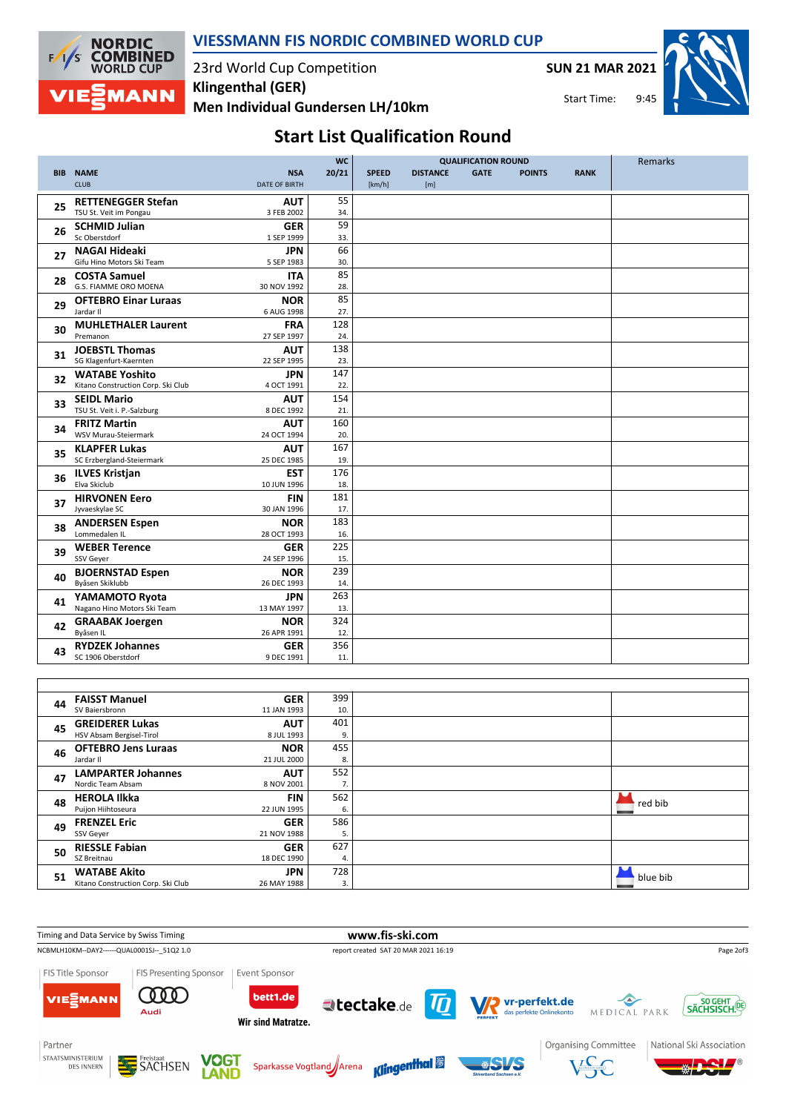

### **VIESSMANN FIS NORDIC COMBINED WORLD CUP**

23rd World Cup Competition **Men Individual Gundersen LH/10km Klingenthal (GER)**

**SUN 21 MAR 2021**

Start Time:

9:45

# **Start List Qualification Round**

|            |                                                     |                           | <b>WC</b> | <b>QUALIFICATION ROUND</b> |                 |             |               |             | Remarks |
|------------|-----------------------------------------------------|---------------------------|-----------|----------------------------|-----------------|-------------|---------------|-------------|---------|
| <b>BIB</b> | <b>NAME</b>                                         | <b>NSA</b>                | 20/21     | <b>SPEED</b>               | <b>DISTANCE</b> | <b>GATE</b> | <b>POINTS</b> | <b>RANK</b> |         |
|            | <b>CLUB</b>                                         | <b>DATE OF BIRTH</b>      |           | [km/h]                     | [m]             |             |               |             |         |
|            |                                                     |                           | 55        |                            |                 |             |               |             |         |
| 25         | <b>RETTENEGGER Stefan</b><br>TSU St. Veit im Pongau | <b>AUT</b><br>3 FEB 2002  | 34.       |                            |                 |             |               |             |         |
|            |                                                     |                           |           |                            |                 |             |               |             |         |
| 26         | <b>SCHMID Julian</b>                                | <b>GER</b>                | 59        |                            |                 |             |               |             |         |
|            | Sc Oberstdorf                                       | 1 SEP 1999                | 33.       |                            |                 |             |               |             |         |
| 27         | <b>NAGAI Hideaki</b>                                | <b>JPN</b>                | 66        |                            |                 |             |               |             |         |
|            | Gifu Hino Motors Ski Team                           | 5 SEP 1983                | 30.       |                            |                 |             |               |             |         |
| 28         | <b>COSTA Samuel</b>                                 | <b>ITA</b>                | 85        |                            |                 |             |               |             |         |
|            | G.S. FIAMME ORO MOENA                               | 30 NOV 1992               | 28.       |                            |                 |             |               |             |         |
| 29         | <b>OFTEBRO Einar Luraas</b>                         | <b>NOR</b>                | 85        |                            |                 |             |               |             |         |
|            | Jardar II                                           | 6 AUG 1998                | 27.       |                            |                 |             |               |             |         |
|            | <b>MUHLETHALER Laurent</b>                          | <b>FRA</b>                | 128       |                            |                 |             |               |             |         |
| 30         | Premanon                                            | 27 SEP 1997               | 24.       |                            |                 |             |               |             |         |
|            | <b>JOEBSTL Thomas</b>                               | <b>AUT</b>                | 138       |                            |                 |             |               |             |         |
| 31         | SG Klagenfurt-Kaernten                              | 22 SEP 1995               | 23.       |                            |                 |             |               |             |         |
|            | <b>WATABE Yoshito</b>                               | <b>JPN</b>                | 147       |                            |                 |             |               |             |         |
| 32         | Kitano Construction Corp. Ski Club                  | 4 OCT 1991                | 22.       |                            |                 |             |               |             |         |
|            | <b>SEIDL Mario</b>                                  | <b>AUT</b>                | 154       |                            |                 |             |               |             |         |
| 33         | TSU St. Veit i. P.-Salzburg                         | 8 DEC 1992                | 21.       |                            |                 |             |               |             |         |
|            |                                                     |                           | 160       |                            |                 |             |               |             |         |
| 34         | <b>FRITZ Martin</b><br>WSV Murau-Steiermark         | <b>AUT</b><br>24 OCT 1994 | 20.       |                            |                 |             |               |             |         |
|            |                                                     |                           |           |                            |                 |             |               |             |         |
| 35         | <b>KLAPFER Lukas</b>                                | AUT                       | 167       |                            |                 |             |               |             |         |
|            | SC Erzbergland-Steiermark                           | 25 DEC 1985               | 19.       |                            |                 |             |               |             |         |
| 36         | <b>ILVES Kristjan</b>                               | <b>EST</b>                | 176       |                            |                 |             |               |             |         |
|            | Elva Skiclub                                        | 10 JUN 1996               | 18.       |                            |                 |             |               |             |         |
| 37         | <b>HIRVONEN Eero</b>                                | <b>FIN</b>                | 181       |                            |                 |             |               |             |         |
|            | Jyvaeskylae SC                                      | 30 JAN 1996               | 17.       |                            |                 |             |               |             |         |
| 38         | <b>ANDERSEN Espen</b>                               | <b>NOR</b>                | 183       |                            |                 |             |               |             |         |
|            | Lommedalen IL                                       | 28 OCT 1993               | 16.       |                            |                 |             |               |             |         |
| 39         | <b>WEBER Terence</b>                                | <b>GER</b>                | 225       |                            |                 |             |               |             |         |
|            | SSV Geyer                                           | 24 SEP 1996               | 15.       |                            |                 |             |               |             |         |
| 40         | <b>BJOERNSTAD Espen</b>                             | <b>NOR</b>                | 239       |                            |                 |             |               |             |         |
|            | Byåsen Skiklubb                                     | 26 DEC 1993               | 14.       |                            |                 |             |               |             |         |
|            | YAMAMOTO Ryota                                      | <b>JPN</b>                | 263       |                            |                 |             |               |             |         |
| 41         | Nagano Hino Motors Ski Team                         | 13 MAY 1997               | 13.       |                            |                 |             |               |             |         |
|            | <b>GRAABAK Joergen</b>                              | <b>NOR</b>                | 324       |                            |                 |             |               |             |         |
| 42         | Byåsen IL                                           | 26 APR 1991               | 12.       |                            |                 |             |               |             |         |
|            | <b>RYDZEK Johannes</b>                              | <b>GER</b>                | 356       |                            |                 |             |               |             |         |
| 43         | SC 1906 Oberstdorf                                  | 9 DEC 1991                | 11.       |                            |                 |             |               |             |         |
|            |                                                     |                           |           |                            |                 |             |               |             |         |

| 44 | <b>FAISST Manuel</b>               | <b>GER</b>  | 399 |          |
|----|------------------------------------|-------------|-----|----------|
|    | SV Baiersbronn                     | 11 JAN 1993 | 10. |          |
| 45 | <b>GREIDERER Lukas</b>             | <b>AUT</b>  | 401 |          |
|    | HSV Absam Bergisel-Tirol           | 8 JUL 1993  | 9.  |          |
| 46 | <b>OFTEBRO Jens Luraas</b>         | <b>NOR</b>  | 455 |          |
|    | Jardar II                          | 21 JUL 2000 | 8.  |          |
| 47 | <b>LAMPARTER Johannes</b>          | <b>AUT</b>  | 552 |          |
|    | Nordic Team Absam                  | 8 NOV 2001  | 7.  |          |
| 48 | <b>HEROLA Ilkka</b>                | <b>FIN</b>  | 562 | red bib  |
|    | Puijon Hiihtoseura                 | 22 JUN 1995 | 6.  |          |
| 49 | <b>FRENZEL Eric</b>                | <b>GER</b>  | 586 |          |
|    | SSV Gever                          | 21 NOV 1988 | 5.  |          |
| 50 | <b>RIESSLE Fabian</b>              | <b>GER</b>  | 627 |          |
|    | SZ Breitnau                        | 18 DEC 1990 | 4.  |          |
| 51 | <b>WATABE Akito</b>                | <b>JPN</b>  | 728 | blue bib |
|    | Kitano Construction Corp. Ski Club | 26 MAY 1988 | 3.  |          |